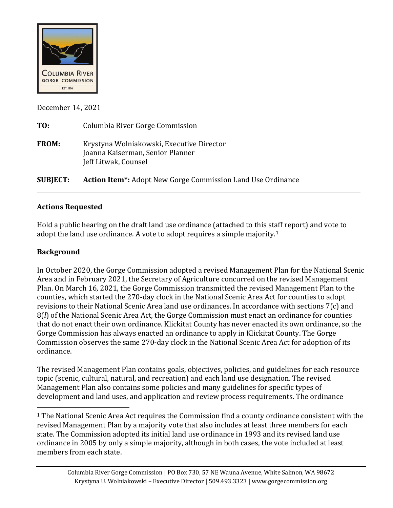

December 14, 2021

| TO:             | Columbia River Gorge Commission                                                                       |
|-----------------|-------------------------------------------------------------------------------------------------------|
| <b>FROM:</b>    | Krystyna Wolniakowski, Executive Director<br>Joanna Kaiserman, Senior Planner<br>Jeff Litwak, Counsel |
| <b>SUBJECT:</b> | <b>Action Item*:</b> Adopt New Gorge Commission Land Use Ordinance                                    |

## **Actions Requested**

Hold a public hearing on the draft land use ordinance (attached to this staff report) and vote to adopt the land use ordinance. A vote to adopt requires a simple majority.[1](#page-0-0)

## **Background**

In October 2020, the Gorge Commission adopted a revised Management Plan for the National Scenic Area and in February 2021, the Secretary of Agriculture concurred on the revised Management Plan. On March 16, 2021, the Gorge Commission transmitted the revised Management Plan to the counties, which started the 270-day clock in the National Scenic Area Act for counties to adopt revisions to their National Scenic Area land use ordinances. In accordance with sections 7(c) and 8(*l*) of the National Scenic Area Act, the Gorge Commission must enact an ordinance for counties that do not enact their own ordinance. Klickitat County has never enacted its own ordinance, so the Gorge Commission has always enacted an ordinance to apply in Klickitat County. The Gorge Commission observes the same 270-day clock in the National Scenic Area Act for adoption of its ordinance.

The revised Management Plan contains goals, objectives, policies, and guidelines for each resource topic (scenic, cultural, natural, and recreation) and each land use designation. The revised Management Plan also contains some policies and many guidelines for specific types of development and land uses, and application and review process requirements. The ordinance

<span id="page-0-0"></span><sup>&</sup>lt;sup>1</sup> The National Scenic Area Act requires the Commission find a county ordinance consistent with the revised Management Plan by a majority vote that also includes at least three members for each state. The Commission adopted its initial land use ordinance in 1993 and its revised land use ordinance in 2005 by only a simple majority, although in both cases, the vote included at least members from each state.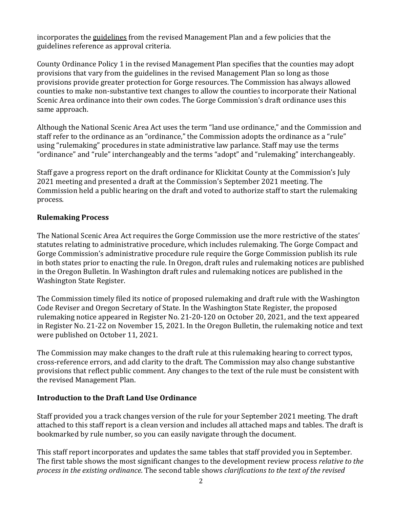incorporates the guidelines from the revised Management Plan and a few policies that the guidelines reference as approval criteria.

County Ordinance Policy 1 in the revised Management Plan specifies that the counties may adopt provisions that vary from the guidelines in the revised Management Plan so long as those provisions provide greater protection for Gorge resources. The Commission has always allowed counties to make non-substantive text changes to allow the counties to incorporate their National Scenic Area ordinance into their own codes. The Gorge Commission's draft ordinance uses this same approach.

Although the National Scenic Area Act uses the term "land use ordinance," and the Commission and staff refer to the ordinance as an "ordinance," the Commission adopts the ordinance as a "rule" using "rulemaking" procedures in state administrative law parlance. Staff may use the terms "ordinance" and "rule" interchangeably and the terms "adopt" and "rulemaking" interchangeably.

Staff gave a progress report on the draft ordinance for Klickitat County at the Commission's July 2021 meeting and presented a draft at the Commission's September 2021 meeting. The Commission held a public hearing on the draft and voted to authorize staff to start the rulemaking process.

### **Rulemaking Process**

The National Scenic Area Act requires the Gorge Commission use the more restrictive of the states' statutes relating to administrative procedure, which includes rulemaking. The Gorge Compact and Gorge Commission's administrative procedure rule require the Gorge Commission publish its rule in both states prior to enacting the rule. In Oregon, draft rules and rulemaking notices are published in the Oregon Bulletin. In Washington draft rules and rulemaking notices are published in the Washington State Register.

The Commission timely filed its notice of proposed rulemaking and draft rule with the Washington Code Reviser and Oregon Secretary of State. In the Washington State Register, the proposed rulemaking notice appeared in Register No. 21-20-120 on October 20, 2021, and the text appeared in Register No. 21-22 on November 15, 2021. In the Oregon Bulletin, the rulemaking notice and text were published on October 11, 2021.

The Commission may make changes to the draft rule at this rulemaking hearing to correct typos, cross-reference errors, and add clarity to the draft. The Commission may also change substantive provisions that reflect public comment. Any changes to the text of the rule must be consistent with the revised Management Plan.

#### **Introduction to the Draft Land Use Ordinance**

Staff provided you a track changes version of the rule for your September 2021 meeting. The draft attached to this staff report is a clean version and includes all attached maps and tables. The draft is bookmarked by rule number, so you can easily navigate through the document.

This staff report incorporates and updates the same tables that staff provided you in September. The first table shows the most significant changes to the development review process *relative to the process in the existing ordinance*. The second table shows *clarifications to the text of the revised*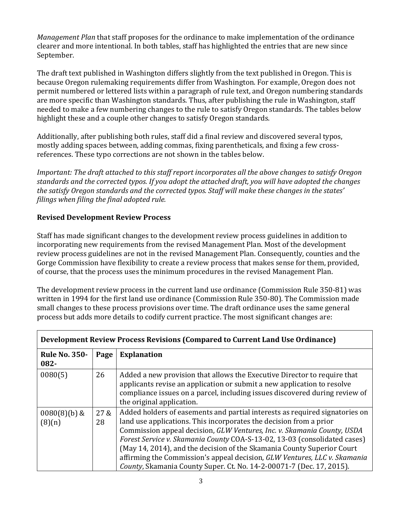*Management Plan* that staff proposes for the ordinance to make implementation of the ordinance clearer and more intentional. In both tables, staff has highlighted the entries that are new since September.

The draft text published in Washington differs slightly from the text published in Oregon. This is because Oregon rulemaking requirements differ from Washington. For example, Oregon does not permit numbered or lettered lists within a paragraph of rule text, and Oregon numbering standards are more specific than Washington standards. Thus, after publishing the rule in Washington, staff needed to make a few numbering changes to the rule to satisfy Oregon standards. The tables below highlight these and a couple other changes to satisfy Oregon standards.

Additionally, after publishing both rules, staff did a final review and discovered several typos, mostly adding spaces between, adding commas, fixing parentheticals, and fixing a few crossreferences. These typo corrections are not shown in the tables below.

*Important: The draft attached to this staff report incorporates all the above changes to satisfy Oregon standards and the corrected typos. If you adopt the attached draft, you will have adopted the changes the satisfy Oregon standards and the corrected typos. Staff will make these changes in the states' filings when filing the final adopted rule.*

## **Revised Development Review Process**

Staff has made significant changes to the development review process guidelines in addition to incorporating new requirements from the revised Management Plan. Most of the development review process guidelines are not in the revised Management Plan. Consequently, counties and the Gorge Commission have flexibility to create a review process that makes sense for them, provided, of course, that the process uses the minimum procedures in the revised Management Plan.

The development review process in the current land use ordinance (Commission Rule 350-81) was written in 1994 for the first land use ordinance (Commission Rule 350-80). The Commission made small changes to these process provisions over time. The draft ordinance uses the same general process but adds more details to codify current practice. The most significant changes are:

| Development Review Process Revisions (Compared to Current Land Use Ordinance) |            |                                                                                                                                                                                                                                                                                                                                                                                                                                                                                                                                          |  |
|-------------------------------------------------------------------------------|------------|------------------------------------------------------------------------------------------------------------------------------------------------------------------------------------------------------------------------------------------------------------------------------------------------------------------------------------------------------------------------------------------------------------------------------------------------------------------------------------------------------------------------------------------|--|
| <b>Rule No. 350-</b><br>082-                                                  | Page       | <b>Explanation</b>                                                                                                                                                                                                                                                                                                                                                                                                                                                                                                                       |  |
| 0080(5)                                                                       | 26         | Added a new provision that allows the Executive Director to require that<br>applicants revise an application or submit a new application to resolve<br>compliance issues on a parcel, including issues discovered during review of<br>the original application.                                                                                                                                                                                                                                                                          |  |
| $0080(8)(b)$ &<br>(8)(n)                                                      | 27 &<br>28 | Added holders of easements and partial interests as required signatories on<br>land use applications. This incorporates the decision from a prior<br>Commission appeal decision, GLW Ventures, Inc. v. Skamania County, USDA<br>Forest Service v. Skamania County COA-S-13-02, 13-03 (consolidated cases)<br>(May 14, 2014), and the decision of the Skamania County Superior Court<br>affirming the Commission's appeal decision, GLW Ventures, LLC v. Skamania<br>County, Skamania County Super. Ct. No. 14-2-00071-7 (Dec. 17, 2015). |  |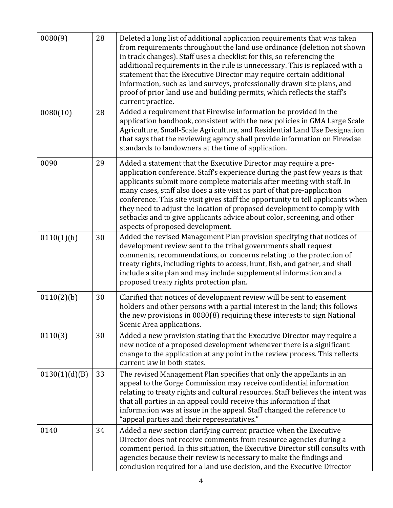| 0080(9)       | 28 | Deleted a long list of additional application requirements that was taken<br>from requirements throughout the land use ordinance (deletion not shown<br>in track changes). Staff uses a checklist for this, so referencing the<br>additional requirements in the rule is unnecessary. This is replaced with a<br>statement that the Executive Director may require certain additional<br>information, such as land surveys, professionally drawn site plans, and<br>proof of prior land use and building permits, which reflects the staff's<br>current practice.                    |
|---------------|----|--------------------------------------------------------------------------------------------------------------------------------------------------------------------------------------------------------------------------------------------------------------------------------------------------------------------------------------------------------------------------------------------------------------------------------------------------------------------------------------------------------------------------------------------------------------------------------------|
| 0080(10)      | 28 | Added a requirement that Firewise information be provided in the<br>application handbook, consistent with the new policies in GMA Large Scale<br>Agriculture, Small-Scale Agriculture, and Residential Land Use Designation<br>that says that the reviewing agency shall provide information on Firewise<br>standards to landowners at the time of application.                                                                                                                                                                                                                      |
| 0090          | 29 | Added a statement that the Executive Director may require a pre-<br>application conference. Staff's experience during the past few years is that<br>applicants submit more complete materials after meeting with staff. In<br>many cases, staff also does a site visit as part of that pre-application<br>conference. This site visit gives staff the opportunity to tell applicants when<br>they need to adjust the location of proposed development to comply with<br>setbacks and to give applicants advice about color, screening, and other<br>aspects of proposed development. |
| 0110(1)(h)    | 30 | Added the revised Management Plan provision specifying that notices of<br>development review sent to the tribal governments shall request<br>comments, recommendations, or concerns relating to the protection of<br>treaty rights, including rights to access, hunt, fish, and gather, and shall<br>include a site plan and may include supplemental information and a<br>proposed treaty rights protection plan.                                                                                                                                                                   |
| 0110(2)(b)    | 30 | Clarified that notices of development review will be sent to easement<br>holders and other persons with a partial interest in the land; this follows<br>the new provisions in 0080(8) requiring these interests to sign National<br>Scenic Area applications.                                                                                                                                                                                                                                                                                                                        |
| 0110(3)       | 30 | Added a new provision stating that the Executive Director may require a<br>new notice of a proposed development whenever there is a significant<br>change to the application at any point in the review process. This reflects<br>current law in both states.                                                                                                                                                                                                                                                                                                                        |
| 0130(1)(d)(B) | 33 | The revised Management Plan specifies that only the appellants in an<br>appeal to the Gorge Commission may receive confidential information<br>relating to treaty rights and cultural resources. Staff believes the intent was<br>that all parties in an appeal could receive this information if that<br>information was at issue in the appeal. Staff changed the reference to<br>"appeal parties and their representatives."                                                                                                                                                      |
| 0140          | 34 | Added a new section clarifying current practice when the Executive<br>Director does not receive comments from resource agencies during a<br>comment period. In this situation, the Executive Director still consults with<br>agencies because their review is necessary to make the findings and<br>conclusion required for a land use decision, and the Executive Director                                                                                                                                                                                                          |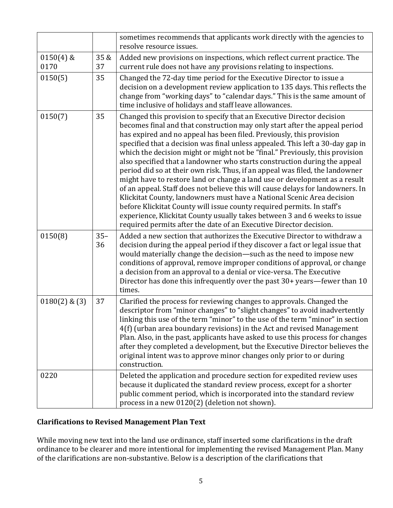|                     |              | sometimes recommends that applicants work directly with the agencies to<br>resolve resource issues.                                                                                                                                                                                                                                                                                                                                                                                                                                                                                                                                                                                                                                                                                                                                                                                                                                                                                                                               |
|---------------------|--------------|-----------------------------------------------------------------------------------------------------------------------------------------------------------------------------------------------------------------------------------------------------------------------------------------------------------------------------------------------------------------------------------------------------------------------------------------------------------------------------------------------------------------------------------------------------------------------------------------------------------------------------------------------------------------------------------------------------------------------------------------------------------------------------------------------------------------------------------------------------------------------------------------------------------------------------------------------------------------------------------------------------------------------------------|
| $0150(4)$ &<br>0170 | 35 &<br>37   | Added new provisions on inspections, which reflect current practice. The<br>current rule does not have any provisions relating to inspections.                                                                                                                                                                                                                                                                                                                                                                                                                                                                                                                                                                                                                                                                                                                                                                                                                                                                                    |
| 0150(5)             | 35           | Changed the 72-day time period for the Executive Director to issue a<br>decision on a development review application to 135 days. This reflects the<br>change from "working days" to "calendar days." This is the same amount of<br>time inclusive of holidays and staff leave allowances.                                                                                                                                                                                                                                                                                                                                                                                                                                                                                                                                                                                                                                                                                                                                        |
| 0150(7)             | 35           | Changed this provision to specify that an Executive Director decision<br>becomes final and that construction may only start after the appeal period<br>has expired and no appeal has been filed. Previously, this provision<br>specified that a decision was final unless appealed. This left a 30-day gap in<br>which the decision might or might not be "final." Previously, this provision<br>also specified that a landowner who starts construction during the appeal<br>period did so at their own risk. Thus, if an appeal was filed, the landowner<br>might have to restore land or change a land use or development as a result<br>of an appeal. Staff does not believe this will cause delays for landowners. In<br>Klickitat County, landowners must have a National Scenic Area decision<br>before Klickitat County will issue county required permits. In staff's<br>experience, Klickitat County usually takes between 3 and 6 weeks to issue<br>required permits after the date of an Executive Director decision. |
| 0150(8)             | $35 -$<br>36 | Added a new section that authorizes the Executive Director to withdraw a<br>decision during the appeal period if they discover a fact or legal issue that<br>would materially change the decision-such as the need to impose new<br>conditions of approval, remove improper conditions of approval, or change<br>a decision from an approval to a denial or vice-versa. The Executive<br>Director has done this infrequently over the past 30+ years—fewer than 10<br>times.                                                                                                                                                                                                                                                                                                                                                                                                                                                                                                                                                      |
| $0180(2)$ & $(3)$   | 37           | Clarified the process for reviewing changes to approvals. Changed the<br>descriptor from "minor changes" to "slight changes" to avoid inadvertently<br>linking this use of the term "minor" to the use of the term "minor" in section<br>4(f) (urban area boundary revisions) in the Act and revised Management<br>Plan. Also, in the past, applicants have asked to use this process for changes<br>after they completed a development, but the Executive Director believes the<br>original intent was to approve minor changes only prior to or during<br>construction.                                                                                                                                                                                                                                                                                                                                                                                                                                                         |
| 0220                |              | Deleted the application and procedure section for expedited review uses<br>because it duplicated the standard review process, except for a shorter<br>public comment period, which is incorporated into the standard review<br>process in a new 0120(2) (deletion not shown).                                                                                                                                                                                                                                                                                                                                                                                                                                                                                                                                                                                                                                                                                                                                                     |

# **Clarifications to Revised Management Plan Text**

While moving new text into the land use ordinance, staff inserted some clarifications in the draft ordinance to be clearer and more intentional for implementing the revised Management Plan. Many of the clarifications are non-substantive. Below is a description of the clarifications that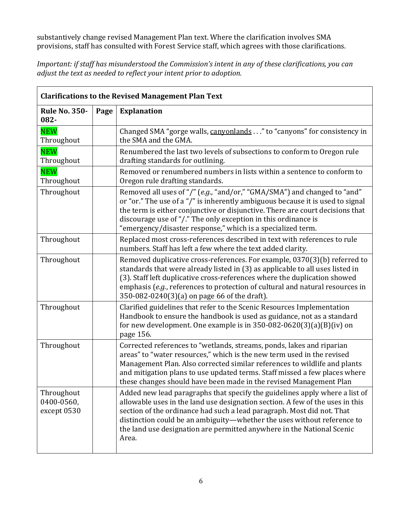substantively change revised Management Plan text. Where the clarification involves SMA provisions, staff has consulted with Forest Service staff, which agrees with those clarifications.

*Important: if staff has misunderstood the Commission's intent in any of these clarifications, you can adjust the text as needed to reflect your intent prior to adoption.*

| <b>Clarifications to the Revised Management Plan Text</b> |      |                                                                                                                                                                                                                                                                                                                                                                                                      |
|-----------------------------------------------------------|------|------------------------------------------------------------------------------------------------------------------------------------------------------------------------------------------------------------------------------------------------------------------------------------------------------------------------------------------------------------------------------------------------------|
| <b>Rule No. 350-</b><br>082-                              | Page | <b>Explanation</b>                                                                                                                                                                                                                                                                                                                                                                                   |
| <b>NEW</b><br>Throughout                                  |      | Changed SMA "gorge walls, canyonlands" to "canyons" for consistency in<br>the SMA and the GMA.                                                                                                                                                                                                                                                                                                       |
| <b>NEW</b><br>Throughout                                  |      | Renumbered the last two levels of subsections to conform to Oregon rule<br>drafting standards for outlining.                                                                                                                                                                                                                                                                                         |
| <b>NEW</b><br>Throughout                                  |      | Removed or renumbered numbers in lists within a sentence to conform to<br>Oregon rule drafting standards.                                                                                                                                                                                                                                                                                            |
| Throughout                                                |      | Removed all uses of "/" (e.g., "and/or," "GMA/SMA") and changed to "and"<br>or "or." The use of a "/" is inherently ambiguous because it is used to signal<br>the term is either conjunctive or disjunctive. There are court decisions that<br>discourage use of "/." The only exception in this ordinance is<br>"emergency/disaster response," which is a specialized term.                         |
| Throughout                                                |      | Replaced most cross-references described in text with references to rule<br>numbers. Staff has left a few where the text added clarity.                                                                                                                                                                                                                                                              |
| Throughout                                                |      | Removed duplicative cross-references. For example, 0370(3)(b) referred to<br>standards that were already listed in (3) as applicable to all uses listed in<br>(3). Staff left duplicative cross-references where the duplication showed<br>emphasis (e.g., references to protection of cultural and natural resources in<br>350-082-0240(3)(a) on page 66 of the draft).                             |
| Throughout                                                |      | Clarified guidelines that refer to the Scenic Resources Implementation<br>Handbook to ensure the handbook is used as guidance, not as a standard<br>for new development. One example is in $350-082-0620(3)(a)(B)(iv)$ on<br>page 156.                                                                                                                                                               |
| Throughout                                                |      | Corrected references to "wetlands, streams, ponds, lakes and riparian<br>areas" to "water resources," which is the new term used in the revised<br>Management Plan. Also corrected similar references to wildlife and plants<br>and mitigation plans to use updated terms. Staff missed a few places where<br>these changes should have been made in the revised Management Plan                     |
| Throughout<br>0400-0560,<br>except 0530                   |      | Added new lead paragraphs that specify the guidelines apply where a list of<br>allowable uses in the land use designation section. A few of the uses in this<br>section of the ordinance had such a lead paragraph. Most did not. That<br>distinction could be an ambiguity—whether the uses without reference to<br>the land use designation are permitted anywhere in the National Scenic<br>Area. |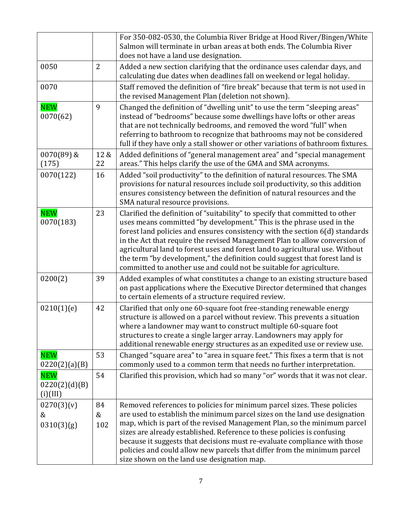|                                         |                | For 350-082-0530, the Columbia River Bridge at Hood River/Bingen/White<br>Salmon will terminate in urban areas at both ends. The Columbia River<br>does not have a land use designation.                                                                                                                                                                                                                                                                                                                                                                   |
|-----------------------------------------|----------------|------------------------------------------------------------------------------------------------------------------------------------------------------------------------------------------------------------------------------------------------------------------------------------------------------------------------------------------------------------------------------------------------------------------------------------------------------------------------------------------------------------------------------------------------------------|
| 0050                                    | $\overline{2}$ | Added a new section clarifying that the ordinance uses calendar days, and<br>calculating due dates when deadlines fall on weekend or legal holiday.                                                                                                                                                                                                                                                                                                                                                                                                        |
| 0070                                    |                | Staff removed the definition of "fire break" because that term is not used in<br>the revised Management Plan (deletion not shown).                                                                                                                                                                                                                                                                                                                                                                                                                         |
| <b>NEW</b><br>0070(62)                  | 9              | Changed the definition of "dwelling unit" to use the term "sleeping areas"<br>instead of "bedrooms" because some dwellings have lofts or other areas<br>that are not technically bedrooms, and removed the word "full" when<br>referring to bathroom to recognize that bathrooms may not be considered<br>full if they have only a stall shower or other variations of bathroom fixtures.                                                                                                                                                                  |
| 0070(89) &<br>(175)                     | 12 &<br>22     | Added definitions of "general management area" and "special management<br>areas." This helps clarify the use of the GMA and SMA acronyms.                                                                                                                                                                                                                                                                                                                                                                                                                  |
| 0070(122)                               | 16             | Added "soil productivity" to the definition of natural resources. The SMA<br>provisions for natural resources include soil productivity, so this addition<br>ensures consistency between the definition of natural resources and the<br>SMA natural resource provisions.                                                                                                                                                                                                                                                                                   |
| <b>NEW</b><br>0070(183)                 | 23             | Clarified the definition of "suitability" to specify that committed to other<br>uses means committed "by development." This is the phrase used in the<br>forest land policies and ensures consistency with the section 6(d) standards<br>in the Act that require the revised Management Plan to allow conversion of<br>agricultural land to forest uses and forest land to agricultural use. Without<br>the term "by development," the definition could suggest that forest land is<br>committed to another use and could not be suitable for agriculture. |
| 0200(2)                                 | 39             | Added examples of what constitutes a change to an existing structure based<br>on past applications where the Executive Director determined that changes<br>to certain elements of a structure required review.                                                                                                                                                                                                                                                                                                                                             |
| 0210(1)(e)                              | 42             | Clarified that only one 60-square foot free-standing renewable energy<br>structure is allowed on a parcel without review. This prevents a situation<br>where a landowner may want to construct multiple 60-square foot<br>structures to create a single larger array. Landowners may apply for<br>additional renewable energy structures as an expedited use or review use.                                                                                                                                                                                |
| <b>NEW</b><br>0220(2)(a)(B)             | 53             | Changed "square area" to "area in square feet." This fixes a term that is not<br>commonly used to a common term that needs no further interpretation.                                                                                                                                                                                                                                                                                                                                                                                                      |
| <b>NEW</b><br>0220(2)(d)(B)<br>(i)(III) | 54             | Clarified this provision, which had so many "or" words that it was not clear.                                                                                                                                                                                                                                                                                                                                                                                                                                                                              |
| 0270(3)(v)<br>&<br>0310(3)(g)           | 84<br>&<br>102 | Removed references to policies for minimum parcel sizes. These policies<br>are used to establish the minimum parcel sizes on the land use designation<br>map, which is part of the revised Management Plan, so the minimum parcel<br>sizes are already established. Reference to these policies is confusing<br>because it suggests that decisions must re-evaluate compliance with those<br>policies and could allow new parcels that differ from the minimum parcel<br>size shown on the land use designation map.                                       |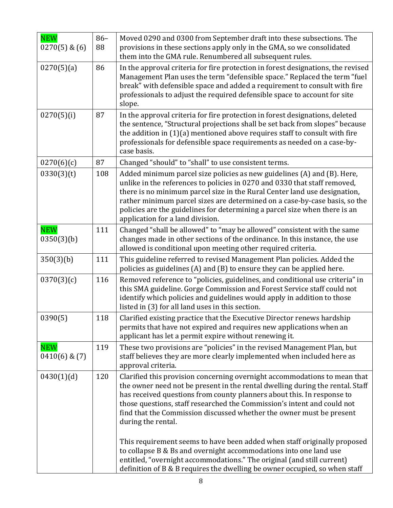| <b>NEW</b><br>$0270(5)$ & $(6)$ | $86 -$<br>88 | Moved 0290 and 0300 from September draft into these subsections. The<br>provisions in these sections apply only in the GMA, so we consolidated<br>them into the GMA rule. Renumbered all subsequent rules.                                                                                                                                                                                                                                                                                                                                                                                                                                                                                                             |
|---------------------------------|--------------|------------------------------------------------------------------------------------------------------------------------------------------------------------------------------------------------------------------------------------------------------------------------------------------------------------------------------------------------------------------------------------------------------------------------------------------------------------------------------------------------------------------------------------------------------------------------------------------------------------------------------------------------------------------------------------------------------------------------|
| 0270(5)(a)                      | 86           | In the approval criteria for fire protection in forest designations, the revised<br>Management Plan uses the term "defensible space." Replaced the term "fuel<br>break" with defensible space and added a requirement to consult with fire<br>professionals to adjust the required defensible space to account for site<br>slope.                                                                                                                                                                                                                                                                                                                                                                                      |
| 0270(5)(i)                      | 87           | In the approval criteria for fire protection in forest designations, deleted<br>the sentence, "Structural projections shall be set back from slopes" because<br>the addition in (1)(a) mentioned above requires staff to consult with fire<br>professionals for defensible space requirements as needed on a case-by-<br>case basis.                                                                                                                                                                                                                                                                                                                                                                                   |
| 0270(6)(c)                      | 87           | Changed "should" to "shall" to use consistent terms.                                                                                                                                                                                                                                                                                                                                                                                                                                                                                                                                                                                                                                                                   |
| 0330(3)(t)                      | 108          | Added minimum parcel size policies as new guidelines (A) and (B). Here,<br>unlike in the references to policies in 0270 and 0330 that staff removed,<br>there is no minimum parcel size in the Rural Center land use designation,<br>rather minimum parcel sizes are determined on a case-by-case basis, so the<br>policies are the guidelines for determining a parcel size when there is an<br>application for a land division.                                                                                                                                                                                                                                                                                      |
| <b>NEW</b><br>0350(3)(b)        | 111          | Changed "shall be allowed" to "may be allowed" consistent with the same<br>changes made in other sections of the ordinance. In this instance, the use<br>allowed is conditional upon meeting other required criteria.                                                                                                                                                                                                                                                                                                                                                                                                                                                                                                  |
| 350(3)(b)                       | 111          | This guideline referred to revised Management Plan policies. Added the<br>policies as guidelines (A) and (B) to ensure they can be applied here.                                                                                                                                                                                                                                                                                                                                                                                                                                                                                                                                                                       |
| 0370(3)(c)                      | 116          | Removed reference to "policies, guidelines, and conditional use criteria" in<br>this SMA guideline. Gorge Commission and Forest Service staff could not<br>identify which policies and guidelines would apply in addition to those<br>listed in (3) for all land uses in this section.                                                                                                                                                                                                                                                                                                                                                                                                                                 |
| 0390(5)                         | 118          | Clarified existing practice that the Executive Director renews hardship<br>permits that have not expired and requires new applications when an<br>applicant has let a permit expire without renewing it.                                                                                                                                                                                                                                                                                                                                                                                                                                                                                                               |
| <b>NEW</b><br>$0410(6)$ & $(7)$ | 119          | These two provisions are "policies" in the revised Management Plan, but<br>staff believes they are more clearly implemented when included here as<br>approval criteria.                                                                                                                                                                                                                                                                                                                                                                                                                                                                                                                                                |
| 0430(1)(d)                      | 120          | Clarified this provision concerning overnight accommodations to mean that<br>the owner need not be present in the rental dwelling during the rental. Staff<br>has received questions from county planners about this. In response to<br>those questions, staff researched the Commission's intent and could not<br>find that the Commission discussed whether the owner must be present<br>during the rental.<br>This requirement seems to have been added when staff originally proposed<br>to collapse B & Bs and overnight accommodations into one land use<br>entitled, "overnight accommodations." The original (and still current)<br>definition of B & B requires the dwelling be owner occupied, so when staff |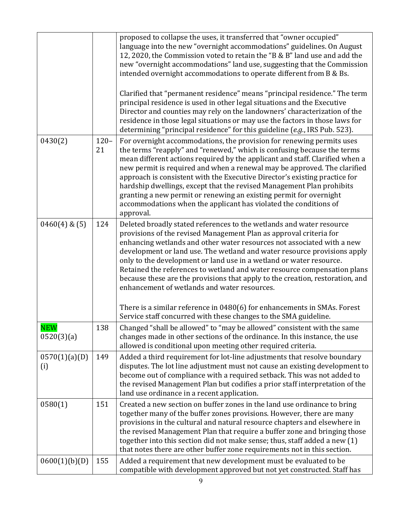|                          |               | proposed to collapse the uses, it transferred that "owner occupied"<br>language into the new "overnight accommodations" guidelines. On August<br>12, 2020, the Commission voted to retain the "B & B" land use and add the<br>new "overnight accommodations" land use, suggesting that the Commission<br>intended overnight accommodations to operate different from B & Bs.<br>Clarified that "permanent residence" means "principal residence." The term<br>principal residence is used in other legal situations and the Executive<br>Director and counties may rely on the landowners' characterization of the<br>residence in those legal situations or may use the factors in those laws for<br>determining "principal residence" for this guideline (e.g., IRS Pub. 523). |
|--------------------------|---------------|----------------------------------------------------------------------------------------------------------------------------------------------------------------------------------------------------------------------------------------------------------------------------------------------------------------------------------------------------------------------------------------------------------------------------------------------------------------------------------------------------------------------------------------------------------------------------------------------------------------------------------------------------------------------------------------------------------------------------------------------------------------------------------|
| 0430(2)                  | $120 -$<br>21 | For overnight accommodations, the provision for renewing permits uses<br>the terms "reapply" and "renewed," which is confusing because the terms<br>mean different actions required by the applicant and staff. Clarified when a<br>new permit is required and when a renewal may be approved. The clarified<br>approach is consistent with the Executive Director's existing practice for<br>hardship dwellings, except that the revised Management Plan prohibits<br>granting a new permit or renewing an existing permit for overnight<br>accommodations when the applicant has violated the conditions of<br>approval.                                                                                                                                                       |
| $0460(4)$ & $(5)$        | 124           | Deleted broadly stated references to the wetlands and water resource<br>provisions of the revised Management Plan as approval criteria for<br>enhancing wetlands and other water resources not associated with a new<br>development or land use. The wetland and water resource provisions apply<br>only to the development or land use in a wetland or water resource.<br>Retained the references to wetland and water resource compensation plans<br>because these are the provisions that apply to the creation, restoration, and<br>enhancement of wetlands and water resources.<br>There is a similar reference in 0480(6) for enhancements in SMAs. Forest<br>Service staff concurred with these changes to the SMA guideline.                                             |
| <b>NEW</b><br>0520(3)(a) | 138           | Changed "shall be allowed" to "may be allowed" consistent with the same<br>changes made in other sections of the ordinance. In this instance, the use<br>allowed is conditional upon meeting other required criteria.                                                                                                                                                                                                                                                                                                                                                                                                                                                                                                                                                            |
| 0570(1)(a)(D)<br>(i)     | 149           | Added a third requirement for lot-line adjustments that resolve boundary<br>disputes. The lot line adjustment must not cause an existing development to<br>become out of compliance with a required setback. This was not added to<br>the revised Management Plan but codifies a prior staff interpretation of the<br>land use ordinance in a recent application.                                                                                                                                                                                                                                                                                                                                                                                                                |
| 0580(1)                  | 151           | Created a new section on buffer zones in the land use ordinance to bring<br>together many of the buffer zones provisions. However, there are many<br>provisions in the cultural and natural resource chapters and elsewhere in<br>the revised Management Plan that require a buffer zone and bringing those<br>together into this section did not make sense; thus, staff added a new (1)<br>that notes there are other buffer zone requirements not in this section.                                                                                                                                                                                                                                                                                                            |
| 0600(1)(b)(D)            | 155           | Added a requirement that new development must be evaluated to be<br>compatible with development approved but not yet constructed. Staff has                                                                                                                                                                                                                                                                                                                                                                                                                                                                                                                                                                                                                                      |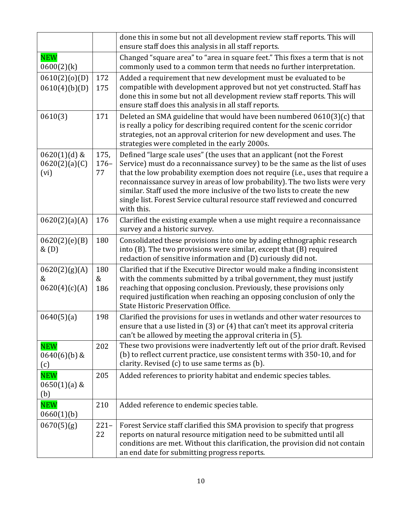|                                         |                      | done this in some but not all development review staff reports. This will<br>ensure staff does this analysis in all staff reports.                                                                                                                                                                                                                                                                                                                                                               |
|-----------------------------------------|----------------------|--------------------------------------------------------------------------------------------------------------------------------------------------------------------------------------------------------------------------------------------------------------------------------------------------------------------------------------------------------------------------------------------------------------------------------------------------------------------------------------------------|
| <b>NEW</b><br>$0600(2)$ (k)             |                      | Changed "square area" to "area in square feet." This fixes a term that is not<br>commonly used to a common term that needs no further interpretation.                                                                                                                                                                                                                                                                                                                                            |
| 0610(2)(o)(D)<br>0610(4)(b)(D)          | 172<br>175           | Added a requirement that new development must be evaluated to be<br>compatible with development approved but not yet constructed. Staff has<br>done this in some but not all development review staff reports. This will<br>ensure staff does this analysis in all staff reports.                                                                                                                                                                                                                |
| 0610(3)                                 | 171                  | Deleted an SMA guideline that would have been numbered 0610(3)(c) that<br>is really a policy for describing required content for the scenic corridor<br>strategies, not an approval criterion for new development and uses. The<br>strategies were completed in the early 2000s.                                                                                                                                                                                                                 |
| $0620(1)(d)$ &<br>0620(2)(a)(C)<br>(vi) | 175,<br>$176-$<br>77 | Defined "large scale uses" (the uses that an applicant (not the Forest<br>Service) must do a reconnaissance survey) to be the same as the list of uses<br>that the low probability exemption does not require (i.e., uses that require a<br>reconnaissance survey in areas of low probability). The two lists were very<br>similar. Staff used the more inclusive of the two lists to create the new<br>single list. Forest Service cultural resource staff reviewed and concurred<br>with this. |
| 0620(2)(a)(A)                           | 176                  | Clarified the existing example when a use might require a reconnaissance<br>survey and a historic survey.                                                                                                                                                                                                                                                                                                                                                                                        |
| 0620(2)(e)(B)<br>&(D)                   | 180                  | Consolidated these provisions into one by adding ethnographic research<br>into (B). The two provisions were similar, except that (B) required<br>redaction of sensitive information and (D) curiously did not.                                                                                                                                                                                                                                                                                   |
| 0620(2)(g)(A)<br>&<br>0620(4)(c)(A)     | 180<br>&<br>186      | Clarified that if the Executive Director would make a finding inconsistent<br>with the comments submitted by a tribal government, they must justify<br>reaching that opposing conclusion. Previously, these provisions only<br>required justification when reaching an opposing conclusion of only the<br>State Historic Preservation Office.                                                                                                                                                    |
| 0640(5)(a)                              | 198                  | Clarified the provisions for uses in wetlands and other water resources to<br>ensure that a use listed in (3) or (4) that can't meet its approval criteria<br>can't be allowed by meeting the approval criteria in (5).                                                                                                                                                                                                                                                                          |
| <b>NEW</b><br>$0640(6)(b)$ &<br>(c)     | 202                  | These two provisions were inadvertently left out of the prior draft. Revised<br>(b) to reflect current practice, use consistent terms with 350-10, and for<br>clarity. Revised (c) to use same terms as (b).                                                                                                                                                                                                                                                                                     |
| <b>NEW</b><br>$0650(1)(a)$ &<br>(b)     | 205                  | Added references to priority habitat and endemic species tables.                                                                                                                                                                                                                                                                                                                                                                                                                                 |
| <b>NEW</b><br>0660(1)(b)                | 210                  | Added reference to endemic species table.                                                                                                                                                                                                                                                                                                                                                                                                                                                        |
| 0670(5)(g)                              | $221 -$<br>22        | Forest Service staff clarified this SMA provision to specify that progress<br>reports on natural resource mitigation need to be submitted until all<br>conditions are met. Without this clarification, the provision did not contain<br>an end date for submitting progress reports.                                                                                                                                                                                                             |